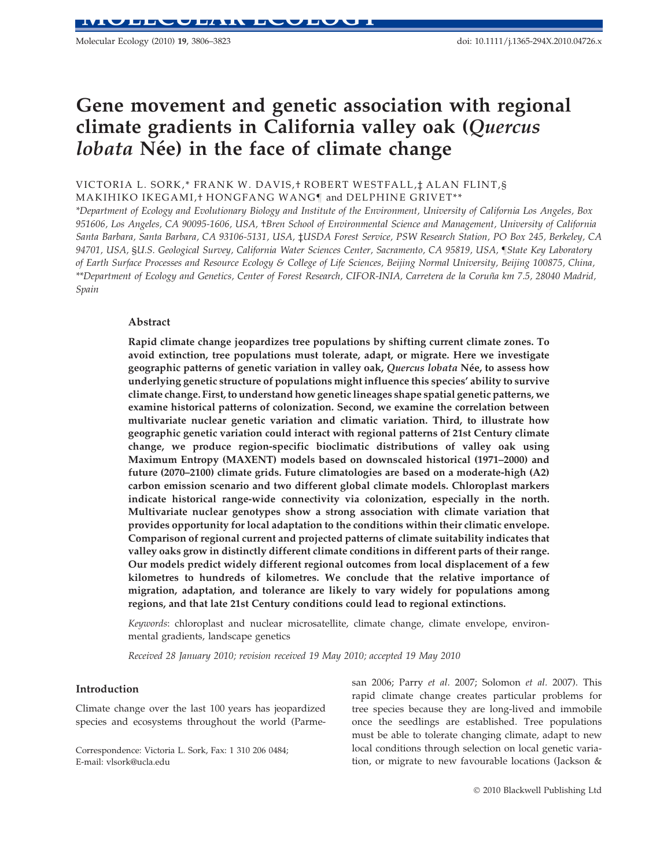# Gene movement and genetic association with regional climate gradients in California valley oak (Quercus lobata Née) in the face of climate change

## VICTORIA L. SORK,\* FRANK W. DAVIS,† ROBERT WESTFALL,‡ ALAN FLINT,§ MAKIHIKO IKEGAMI,† HONGFANG WANG¶ and DELPHINE GRIVET\*\*

\*Department of Ecology and Evolutionary Biology and Institute of the Environment, University of California Los Angeles, Box 951606, Los Angeles, CA 90095-1606, USA, †Bren School of Environmental Science and Management, University of California Santa Barbara, Santa Barbara, CA 93106-5131, USA, ‡USDA Forest Service, PSW Research Station, PO Box 245, Berkeley, CA 94701, USA, §U.S. Geological Survey, California Water Sciences Center, Sacramento, CA 95819, USA, ¶State Key Laboratory of Earth Surface Processes and Resource Ecology & College of Life Sciences, Beijing Normal University, Beijing 100875, China, \*\*Department of Ecology and Genetics, Center of Forest Research, CIFOR-INIA, Carretera de la Coruña km 7.5, 28040 Madrid, Spain

## Abstract

Rapid climate change jeopardizes tree populations by shifting current climate zones. To avoid extinction, tree populations must tolerate, adapt, or migrate. Here we investigate geographic patterns of genetic variation in valley oak, Quercus lobata Née, to assess how underlying genetic structure of populations might influence this species' ability to survive climate change. First, to understand how genetic lineages shape spatial genetic patterns, we examine historical patterns of colonization. Second, we examine the correlation between multivariate nuclear genetic variation and climatic variation. Third, to illustrate how geographic genetic variation could interact with regional patterns of 21st Century climate change, we produce region-specific bioclimatic distributions of valley oak using Maximum Entropy (MAXENT) models based on downscaled historical (1971–2000) and future (2070–2100) climate grids. Future climatologies are based on a moderate-high (A2) carbon emission scenario and two different global climate models. Chloroplast markers indicate historical range-wide connectivity via colonization, especially in the north. Multivariate nuclear genotypes show a strong association with climate variation that provides opportunity for local adaptation to the conditions within their climatic envelope. Comparison of regional current and projected patterns of climate suitability indicates that valley oaks grow in distinctly different climate conditions in different parts of their range. Our models predict widely different regional outcomes from local displacement of a few kilometres to hundreds of kilometres. We conclude that the relative importance of migration, adaptation, and tolerance are likely to vary widely for populations among regions, and that late 21st Century conditions could lead to regional extinctions.

Keywords: chloroplast and nuclear microsatellite, climate change, climate envelope, environmental gradients, landscape genetics

Received 28 January 2010; revision received 19 May 2010; accepted 19 May 2010

## Introduction

Climate change over the last 100 years has jeopardized species and ecosystems throughout the world (Parme-

Correspondence: Victoria L. Sork, Fax: 1 310 206 0484; E-mail: vlsork@ucla.edu

san 2006; Parry et al. 2007; Solomon et al. 2007). This rapid climate change creates particular problems for tree species because they are long-lived and immobile once the seedlings are established. Tree populations must be able to tolerate changing climate, adapt to new local conditions through selection on local genetic variation, or migrate to new favourable locations (Jackson &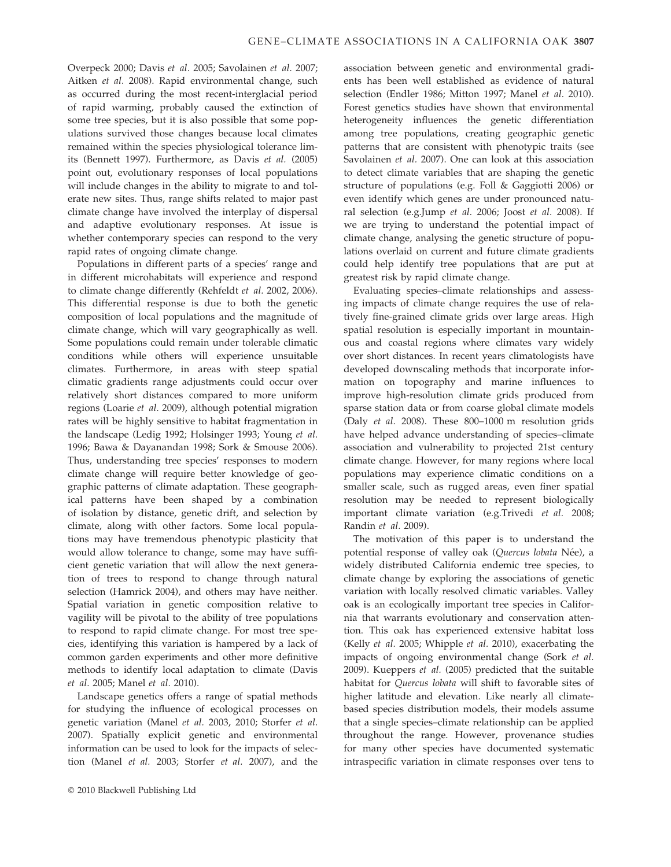Overpeck 2000; Davis et al. 2005; Savolainen et al. 2007; Aitken et al. 2008). Rapid environmental change, such as occurred during the most recent-interglacial period of rapid warming, probably caused the extinction of some tree species, but it is also possible that some populations survived those changes because local climates remained within the species physiological tolerance limits (Bennett 1997). Furthermore, as Davis et al. (2005) point out, evolutionary responses of local populations will include changes in the ability to migrate to and tolerate new sites. Thus, range shifts related to major past climate change have involved the interplay of dispersal and adaptive evolutionary responses. At issue is whether contemporary species can respond to the very rapid rates of ongoing climate change.

Populations in different parts of a species' range and in different microhabitats will experience and respond to climate change differently (Rehfeldt et al. 2002, 2006). This differential response is due to both the genetic composition of local populations and the magnitude of climate change, which will vary geographically as well. Some populations could remain under tolerable climatic conditions while others will experience unsuitable climates. Furthermore, in areas with steep spatial climatic gradients range adjustments could occur over relatively short distances compared to more uniform regions (Loarie et al. 2009), although potential migration rates will be highly sensitive to habitat fragmentation in the landscape (Ledig 1992; Holsinger 1993; Young et al. 1996; Bawa & Dayanandan 1998; Sork & Smouse 2006). Thus, understanding tree species' responses to modern climate change will require better knowledge of geographic patterns of climate adaptation. These geographical patterns have been shaped by a combination of isolation by distance, genetic drift, and selection by climate, along with other factors. Some local populations may have tremendous phenotypic plasticity that would allow tolerance to change, some may have sufficient genetic variation that will allow the next generation of trees to respond to change through natural selection (Hamrick 2004), and others may have neither. Spatial variation in genetic composition relative to vagility will be pivotal to the ability of tree populations to respond to rapid climate change. For most tree species, identifying this variation is hampered by a lack of common garden experiments and other more definitive methods to identify local adaptation to climate (Davis et al. 2005; Manel et al. 2010).

Landscape genetics offers a range of spatial methods for studying the influence of ecological processes on genetic variation (Manel et al. 2003, 2010; Storfer et al. 2007). Spatially explicit genetic and environmental information can be used to look for the impacts of selection (Manel et al. 2003; Storfer et al. 2007), and the

association between genetic and environmental gradients has been well established as evidence of natural selection (Endler 1986; Mitton 1997; Manel et al. 2010). Forest genetics studies have shown that environmental heterogeneity influences the genetic differentiation among tree populations, creating geographic genetic patterns that are consistent with phenotypic traits (see Savolainen et al. 2007). One can look at this association to detect climate variables that are shaping the genetic structure of populations (e.g. Foll & Gaggiotti 2006) or even identify which genes are under pronounced natural selection (e.g.Jump et al. 2006; Joost et al. 2008). If we are trying to understand the potential impact of climate change, analysing the genetic structure of populations overlaid on current and future climate gradients could help identify tree populations that are put at greatest risk by rapid climate change.

Evaluating species–climate relationships and assessing impacts of climate change requires the use of relatively fine-grained climate grids over large areas. High spatial resolution is especially important in mountainous and coastal regions where climates vary widely over short distances. In recent years climatologists have developed downscaling methods that incorporate information on topography and marine influences to improve high-resolution climate grids produced from sparse station data or from coarse global climate models (Daly et al. 2008). These 800–1000 m resolution grids have helped advance understanding of species–climate association and vulnerability to projected 21st century climate change. However, for many regions where local populations may experience climatic conditions on a smaller scale, such as rugged areas, even finer spatial resolution may be needed to represent biologically important climate variation (e.g.Trivedi et al. 2008; Randin et al. 2009).

The motivation of this paper is to understand the potential response of valley oak (Quercus lobata Née), a widely distributed California endemic tree species, to climate change by exploring the associations of genetic variation with locally resolved climatic variables. Valley oak is an ecologically important tree species in California that warrants evolutionary and conservation attention. This oak has experienced extensive habitat loss (Kelly et al. 2005; Whipple et al. 2010), exacerbating the impacts of ongoing environmental change (Sork et al. 2009). Kueppers et al. (2005) predicted that the suitable habitat for Quercus lobata will shift to favorable sites of higher latitude and elevation. Like nearly all climatebased species distribution models, their models assume that a single species–climate relationship can be applied throughout the range. However, provenance studies for many other species have documented systematic intraspecific variation in climate responses over tens to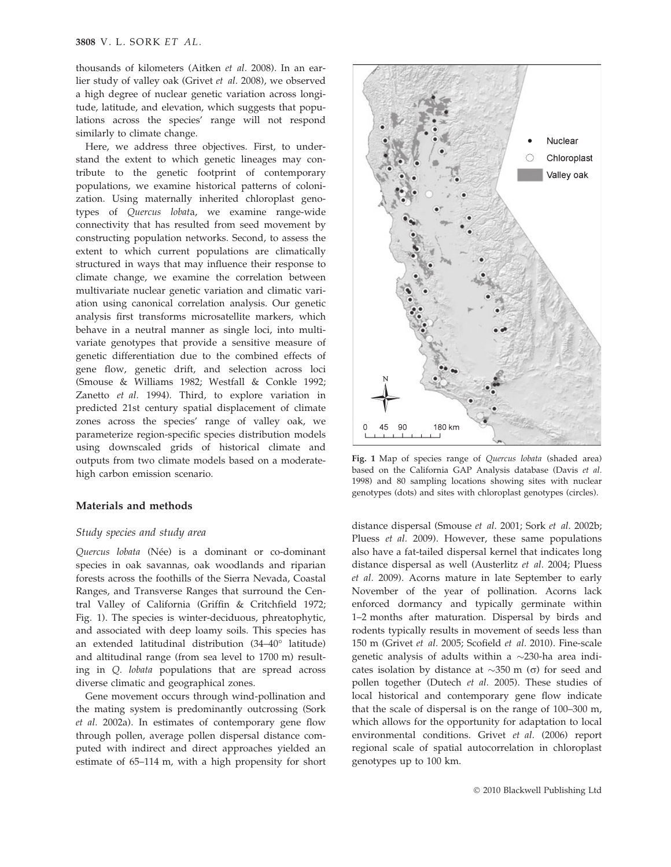thousands of kilometers (Aitken et al. 2008). In an earlier study of valley oak (Grivet et al. 2008), we observed a high degree of nuclear genetic variation across longitude, latitude, and elevation, which suggests that populations across the species' range will not respond similarly to climate change.

Here, we address three objectives. First, to understand the extent to which genetic lineages may contribute to the genetic footprint of contemporary populations, we examine historical patterns of colonization. Using maternally inherited chloroplast genotypes of Quercus lobata, we examine range-wide connectivity that has resulted from seed movement by constructing population networks. Second, to assess the extent to which current populations are climatically structured in ways that may influence their response to climate change, we examine the correlation between multivariate nuclear genetic variation and climatic variation using canonical correlation analysis. Our genetic analysis first transforms microsatellite markers, which behave in a neutral manner as single loci, into multivariate genotypes that provide a sensitive measure of genetic differentiation due to the combined effects of gene flow, genetic drift, and selection across loci (Smouse & Williams 1982; Westfall & Conkle 1992; Zanetto et al. 1994). Third, to explore variation in predicted 21st century spatial displacement of climate zones across the species' range of valley oak, we parameterize region-specific species distribution models using downscaled grids of historical climate and outputs from two climate models based on a moderatehigh carbon emission scenario.

# Materials and methods

## Study species and study area

Quercus lobata (Née) is a dominant or co-dominant species in oak savannas, oak woodlands and riparian forests across the foothills of the Sierra Nevada, Coastal Ranges, and Transverse Ranges that surround the Central Valley of California (Griffin & Critchfield 1972; Fig. 1). The species is winter-deciduous, phreatophytic, and associated with deep loamy soils. This species has an extended latitudinal distribution (34-40° latitude) and altitudinal range (from sea level to 1700 m) resulting in Q. lobata populations that are spread across diverse climatic and geographical zones.

Gene movement occurs through wind-pollination and the mating system is predominantly outcrossing (Sork et al. 2002a). In estimates of contemporary gene flow through pollen, average pollen dispersal distance computed with indirect and direct approaches yielded an estimate of 65–114 m, with a high propensity for short



Fig. 1 Map of species range of Quercus lobata (shaded area) based on the California GAP Analysis database (Davis et al. 1998) and 80 sampling locations showing sites with nuclear genotypes (dots) and sites with chloroplast genotypes (circles).

distance dispersal (Smouse et al. 2001; Sork et al. 2002b; Pluess et al. 2009). However, these same populations also have a fat-tailed dispersal kernel that indicates long distance dispersal as well (Austerlitz et al. 2004; Pluess et al. 2009). Acorns mature in late September to early November of the year of pollination. Acorns lack enforced dormancy and typically germinate within 1–2 months after maturation. Dispersal by birds and rodents typically results in movement of seeds less than 150 m (Grivet et al. 2005; Scofield et al. 2010). Fine-scale genetic analysis of adults within a  $\sim$ 230-ha area indicates isolation by distance at  $\sim$ 350 m ( $\sigma$ ) for seed and pollen together (Dutech et al. 2005). These studies of local historical and contemporary gene flow indicate that the scale of dispersal is on the range of 100–300 m, which allows for the opportunity for adaptation to local environmental conditions. Grivet et al. (2006) report regional scale of spatial autocorrelation in chloroplast genotypes up to 100 km.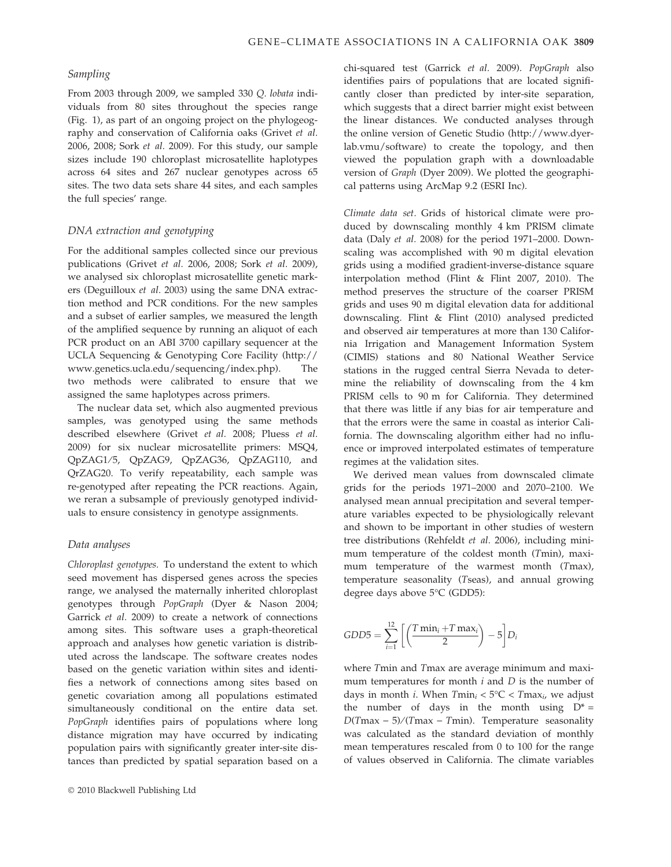## Sampling

From 2003 through 2009, we sampled 330 Q. lobata individuals from 80 sites throughout the species range (Fig. 1), as part of an ongoing project on the phylogeography and conservation of California oaks (Grivet et al. 2006, 2008; Sork et al. 2009). For this study, our sample sizes include 190 chloroplast microsatellite haplotypes across 64 sites and 267 nuclear genotypes across 65 sites. The two data sets share 44 sites, and each samples the full species' range.

## DNA extraction and genotyping

For the additional samples collected since our previous publications (Grivet et al. 2006, 2008; Sork et al. 2009), we analysed six chloroplast microsatellite genetic markers (Deguilloux et al. 2003) using the same DNA extraction method and PCR conditions. For the new samples and a subset of earlier samples, we measured the length of the amplified sequence by running an aliquot of each PCR product on an ABI 3700 capillary sequencer at the UCLA Sequencing & Genotyping Core Facility (http:// www.genetics.ucla.edu/sequencing/index.php). The two methods were calibrated to ensure that we assigned the same haplotypes across primers.

The nuclear data set, which also augmented previous samples, was genotyped using the same methods described elsewhere (Grivet et al. 2008; Pluess et al. 2009) for six nuclear microsatellite primers: MSQ4, QpZAG1/5, QpZAG9, QpZAG36, QpZAG110, and QrZAG20. To verify repeatability, each sample was re-genotyped after repeating the PCR reactions. Again, we reran a subsample of previously genotyped individuals to ensure consistency in genotype assignments.

#### Data analyses

Chloroplast genotypes. To understand the extent to which seed movement has dispersed genes across the species range, we analysed the maternally inherited chloroplast genotypes through PopGraph (Dyer & Nason 2004; Garrick et al. 2009) to create a network of connections among sites. This software uses a graph-theoretical approach and analyses how genetic variation is distributed across the landscape. The software creates nodes based on the genetic variation within sites and identifies a network of connections among sites based on genetic covariation among all populations estimated simultaneously conditional on the entire data set. PopGraph identifies pairs of populations where long distance migration may have occurred by indicating population pairs with significantly greater inter-site distances than predicted by spatial separation based on a chi-squared test (Garrick et al. 2009). PopGraph also identifies pairs of populations that are located significantly closer than predicted by inter-site separation, which suggests that a direct barrier might exist between the linear distances. We conducted analyses through the online version of Genetic Studio (http://www.dyerlab.vmu/software) to create the topology, and then viewed the population graph with a downloadable version of Graph (Dyer 2009). We plotted the geographical patterns using ArcMap 9.2 (ESRI Inc).

Climate data set. Grids of historical climate were produced by downscaling monthly 4 km PRISM climate data (Daly et al. 2008) for the period 1971–2000. Downscaling was accomplished with 90 m digital elevation grids using a modified gradient-inverse-distance square interpolation method (Flint & Flint 2007, 2010). The method preserves the structure of the coarser PRISM grids and uses 90 m digital elevation data for additional downscaling. Flint & Flint (2010) analysed predicted and observed air temperatures at more than 130 California Irrigation and Management Information System (CIMIS) stations and 80 National Weather Service stations in the rugged central Sierra Nevada to determine the reliability of downscaling from the 4 km PRISM cells to 90 m for California. They determined that there was little if any bias for air temperature and that the errors were the same in coastal as interior California. The downscaling algorithm either had no influence or improved interpolated estimates of temperature regimes at the validation sites.

We derived mean values from downscaled climate grids for the periods 1971–2000 and 2070–2100. We analysed mean annual precipitation and several temperature variables expected to be physiologically relevant and shown to be important in other studies of western tree distributions (Rehfeldt et al. 2006), including minimum temperature of the coldest month (Tmin), maximum temperature of the warmest month (Tmax), temperature seasonality (Tseas), and annual growing degree days above 5"C (GDD5):

$$
GDD5 = \sum_{i=1}^{12} \left[ \left( \frac{T \min_i + T \max_i}{2} \right) - 5 \right] D_i
$$

where Tmin and Tmax are average minimum and maximum temperatures for month  $i$  and  $D$  is the number of days in month *i*. When  $T_{\text{min}_i} < 5^{\circ}\text{C} < T_{\text{max}_i}$ , we adjust the number of days in the month using  $D^* =$  $D(Tmax - 5)/(Tmax - Tmin)$ . Temperature seasonality was calculated as the standard deviation of monthly mean temperatures rescaled from 0 to 100 for the range of values observed in California. The climate variables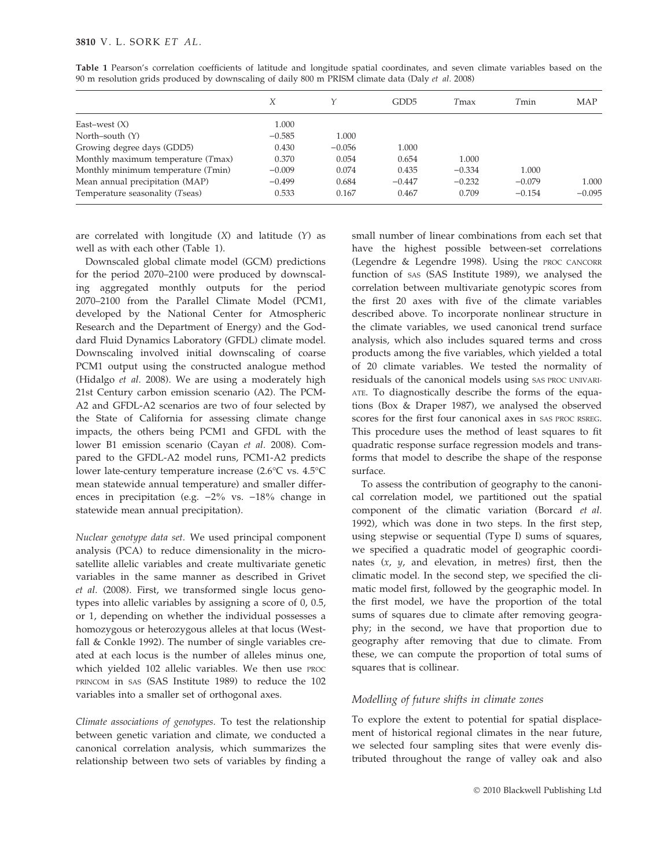# 3810 V. L. SORK ET AL.

|                                    | X        |          | GDD5     | $T$ max  | Tmin     | <b>MAP</b> |
|------------------------------------|----------|----------|----------|----------|----------|------------|
| East-west $(X)$                    | 1.000    |          |          |          |          |            |
| North-south $(Y)$                  | $-0.585$ | 1.000    |          |          |          |            |
| Growing degree days (GDD5)         | 0.430    | $-0.056$ | 1.000    |          |          |            |
| Monthly maximum temperature (Tmax) | 0.370    | 0.054    | 0.654    | 1.000    |          |            |
| Monthly minimum temperature (Tmin) | $-0.009$ | 0.074    | 0.435    | $-0.334$ | 1.000    |            |
| Mean annual precipitation (MAP)    | $-0.499$ | 0.684    | $-0.447$ | $-0.232$ | $-0.079$ | 1.000      |
| Temperature seasonality (Tseas)    | 0.533    | 0.167    | 0.467    | 0.709    | $-0.154$ | $-0.095$   |

Table 1 Pearson's correlation coefficients of latitude and longitude spatial coordinates, and seven climate variables based on the 90 m resolution grids produced by downscaling of daily 800 m PRISM climate data (Daly et al. 2008)

are correlated with longitude  $(X)$  and latitude  $(Y)$  as well as with each other (Table 1).

Downscaled global climate model (GCM) predictions for the period 2070–2100 were produced by downscaling aggregated monthly outputs for the period 2070–2100 from the Parallel Climate Model (PCM1, developed by the National Center for Atmospheric Research and the Department of Energy) and the Goddard Fluid Dynamics Laboratory (GFDL) climate model. Downscaling involved initial downscaling of coarse PCM1 output using the constructed analogue method (Hidalgo et al. 2008). We are using a moderately high 21st Century carbon emission scenario (A2). The PCM-A2 and GFDL-A2 scenarios are two of four selected by the State of California for assessing climate change impacts, the others being PCM1 and GFDL with the lower B1 emission scenario (Cayan et al. 2008). Compared to the GFDL-A2 model runs, PCM1-A2 predicts lower late-century temperature increase (2.6"C vs. 4.5"C mean statewide annual temperature) and smaller differences in precipitation (e.g.  $-2\%$  vs.  $-18\%$  change in statewide mean annual precipitation).

Nuclear genotype data set. We used principal component analysis (PCA) to reduce dimensionality in the microsatellite allelic variables and create multivariate genetic variables in the same manner as described in Grivet et al. (2008). First, we transformed single locus genotypes into allelic variables by assigning a score of 0, 0.5, or 1, depending on whether the individual possesses a homozygous or heterozygous alleles at that locus (Westfall & Conkle 1992). The number of single variables created at each locus is the number of alleles minus one, which yielded 102 allelic variables. We then use PROC PRINCOM in SAS (SAS Institute 1989) to reduce the 102 variables into a smaller set of orthogonal axes.

Climate associations of genotypes. To test the relationship between genetic variation and climate, we conducted a canonical correlation analysis, which summarizes the relationship between two sets of variables by finding a small number of linear combinations from each set that have the highest possible between-set correlations (Legendre & Legendre 1998). Using the PROC CANCORR function of SAS (SAS Institute 1989), we analysed the correlation between multivariate genotypic scores from the first 20 axes with five of the climate variables described above. To incorporate nonlinear structure in the climate variables, we used canonical trend surface analysis, which also includes squared terms and cross products among the five variables, which yielded a total of 20 climate variables. We tested the normality of residuals of the canonical models using SAS PROC UNIVARI-ATE. To diagnostically describe the forms of the equations (Box & Draper 1987), we analysed the observed scores for the first four canonical axes in SAS PROC RSREG. This procedure uses the method of least squares to fit quadratic response surface regression models and transforms that model to describe the shape of the response surface.

To assess the contribution of geography to the canonical correlation model, we partitioned out the spatial component of the climatic variation (Borcard et al. 1992), which was done in two steps. In the first step, using stepwise or sequential (Type I) sums of squares, we specified a quadratic model of geographic coordinates  $(x, y,$  and elevation, in metres) first, then the climatic model. In the second step, we specified the climatic model first, followed by the geographic model. In the first model, we have the proportion of the total sums of squares due to climate after removing geography; in the second, we have that proportion due to geography after removing that due to climate. From these, we can compute the proportion of total sums of squares that is collinear.

## Modelling of future shifts in climate zones

To explore the extent to potential for spatial displacement of historical regional climates in the near future, we selected four sampling sites that were evenly distributed throughout the range of valley oak and also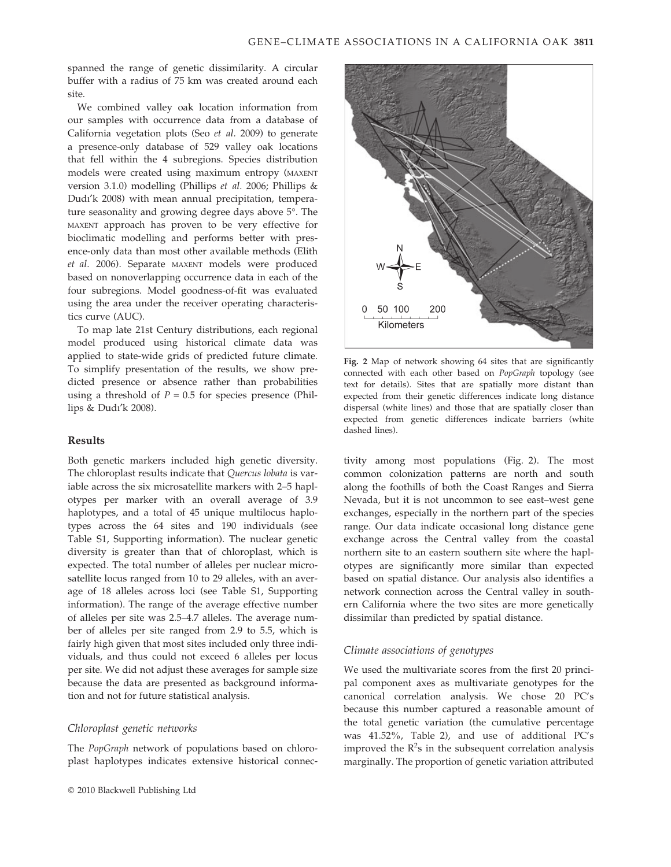spanned the range of genetic dissimilarity. A circular buffer with a radius of 75 km was created around each site.

We combined valley oak location information from our samples with occurrence data from a database of California vegetation plots (Seo et al. 2009) to generate a presence-only database of 529 valley oak locations that fell within the 4 subregions. Species distribution models were created using maximum entropy (MAXENT version 3.1.0) modelling (Phillips et al. 2006; Phillips & Dudı'k 2008) with mean annual precipitation, temperature seasonality and growing degree days above 5°. The MAXENT approach has proven to be very effective for bioclimatic modelling and performs better with presence-only data than most other available methods (Elith et al. 2006). Separate MAXENT models were produced based on nonoverlapping occurrence data in each of the four subregions. Model goodness-of-fit was evaluated using the area under the receiver operating characteristics curve (AUC).

To map late 21st Century distributions, each regional model produced using historical climate data was applied to state-wide grids of predicted future climate. To simplify presentation of the results, we show predicted presence or absence rather than probabilities using a threshold of  $P = 0.5$  for species presence (Phillips & Dudi'k 2008).

## Results

Both genetic markers included high genetic diversity. The chloroplast results indicate that Quercus lobata is variable across the six microsatellite markers with 2–5 haplotypes per marker with an overall average of 3.9 haplotypes, and a total of 45 unique multilocus haplotypes across the 64 sites and 190 individuals (see Table S1, Supporting information). The nuclear genetic diversity is greater than that of chloroplast, which is expected. The total number of alleles per nuclear microsatellite locus ranged from 10 to 29 alleles, with an average of 18 alleles across loci (see Table S1, Supporting information). The range of the average effective number of alleles per site was 2.5–4.7 alleles. The average number of alleles per site ranged from 2.9 to 5.5, which is fairly high given that most sites included only three individuals, and thus could not exceed 6 alleles per locus per site. We did not adjust these averages for sample size because the data are presented as background information and not for future statistical analysis.

#### Chloroplast genetic networks

The PopGraph network of populations based on chloroplast haplotypes indicates extensive historical connec-



Fig. 2 Map of network showing 64 sites that are significantly connected with each other based on PopGraph topology (see text for details). Sites that are spatially more distant than expected from their genetic differences indicate long distance dispersal (white lines) and those that are spatially closer than expected from genetic differences indicate barriers (white dashed lines).

tivity among most populations (Fig. 2). The most common colonization patterns are north and south along the foothills of both the Coast Ranges and Sierra Nevada, but it is not uncommon to see east–west gene exchanges, especially in the northern part of the species range. Our data indicate occasional long distance gene exchange across the Central valley from the coastal northern site to an eastern southern site where the haplotypes are significantly more similar than expected based on spatial distance. Our analysis also identifies a network connection across the Central valley in southern California where the two sites are more genetically dissimilar than predicted by spatial distance.

## Climate associations of genotypes

We used the multivariate scores from the first 20 principal component axes as multivariate genotypes for the canonical correlation analysis. We chose 20 PC's because this number captured a reasonable amount of the total genetic variation (the cumulative percentage was 41.52%, Table 2), and use of additional PC's improved the  $R^2$ s in the subsequent correlation analysis marginally. The proportion of genetic variation attributed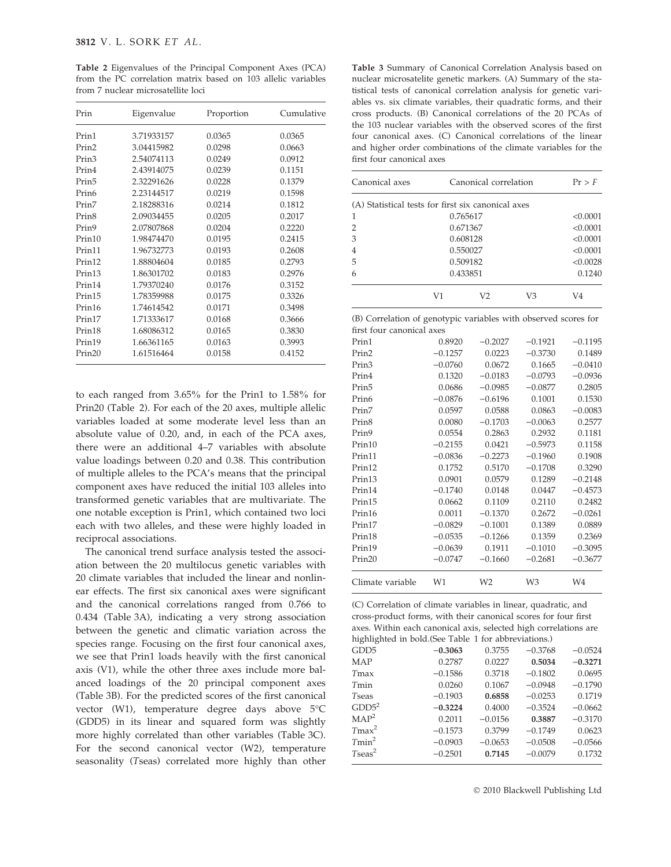Table 2 Eigenvalues of the Principal Component Axes (PCA) from the PC correlation matrix based on 103 allelic variables from 7 nuclear microsatellite loci

| Prin               | Eigenvalue | Proportion | Cumulative |
|--------------------|------------|------------|------------|
| Prin1              | 3.71933157 | 0.0365     | 0.0365     |
| Prin <sub>2</sub>  | 3.04415982 | 0.0298     | 0.0663     |
| Prin <sub>3</sub>  | 2.54074113 | 0.0249     | 0.0912     |
| Prin4              | 2.43914075 | 0.0239     | 0.1151     |
| Prin <sub>5</sub>  | 2.32291626 | 0.0228     | 0.1379     |
| Prin <sub>6</sub>  | 2.23144517 | 0.0219     | 0.1598     |
| Prin7              | 2.18288316 | 0.0214     | 0.1812     |
| Prin <sub>8</sub>  | 2.09034455 | 0.0205     | 0.2017     |
| Prin9              | 2.07807868 | 0.0204     | 0.2220     |
| Prin10             | 1.98474470 | 0.0195     | 0.2415     |
| Prin11             | 1.96732773 | 0.0193     | 0.2608     |
| Prin <sub>12</sub> | 1.88804604 | 0.0185     | 0.2793     |
| Prin <sub>13</sub> | 1.86301702 | 0.0183     | 0.2976     |
| Prin <sub>14</sub> | 1.79370240 | 0.0176     | 0.3152     |
| Prin <sub>15</sub> | 1.78359988 | 0.0175     | 0.3326     |
| Prin <sub>16</sub> | 1.74614542 | 0.0171     | 0.3498     |
| Prin <sub>17</sub> | 1.71333617 | 0.0168     | 0.3666     |
| Prin <sub>18</sub> | 1.68086312 | 0.0165     | 0.3830     |
| Prin19             | 1.66361165 | 0.0163     | 0.3993     |
| Prin <sub>20</sub> | 1.61516464 | 0.0158     | 0.4152     |

to each ranged from 3.65% for the Prin1 to 1.58% for Prin20 (Table 2). For each of the 20 axes, multiple allelic variables loaded at some moderate level less than an absolute value of 0.20, and, in each of the PCA axes, there were an additional 4–7 variables with absolute value loadings between 0.20 and 0.38. This contribution of multiple alleles to the PCA's means that the principal component axes have reduced the initial 103 alleles into transformed genetic variables that are multivariate. The one notable exception is Prin1, which contained two loci each with two alleles, and these were highly loaded in reciprocal associations.

The canonical trend surface analysis tested the association between the 20 multilocus genetic variables with 20 climate variables that included the linear and nonlinear effects. The first six canonical axes were significant and the canonical correlations ranged from 0.766 to 0.434 (Table 3A), indicating a very strong association between the genetic and climatic variation across the species range. Focusing on the first four canonical axes, we see that Prin1 loads heavily with the first canonical axis (V1), while the other three axes include more balanced loadings of the 20 principal component axes (Table 3B). For the predicted scores of the first canonical vector (W1), temperature degree days above 5"C (GDD5) in its linear and squared form was slightly more highly correlated than other variables (Table 3C). For the second canonical vector (W2), temperature seasonality (Tseas) correlated more highly than other

Table 3 Summary of Canonical Correlation Analysis based on nuclear microsatelite genetic markers. (A) Summary of the statistical tests of canonical correlation analysis for genetic variables vs. six climate variables, their quadratic forms, and their cross products. (B) Canonical correlations of the 20 PCAs of the 103 nuclear variables with the observed scores of the first four canonical axes. (C) Canonical correlations of the linear and higher order combinations of the climate variables for the first four canonical axes

| Canonical axes                                                  | Canonical correlation      | Pr > F                     |           |           |  |  |  |  |
|-----------------------------------------------------------------|----------------------------|----------------------------|-----------|-----------|--|--|--|--|
| (A) Statistical tests for first six canonical axes              |                            |                            |           |           |  |  |  |  |
| 1                                                               | 0.765617                   |                            |           |           |  |  |  |  |
| $\overline{2}$                                                  |                            | 0.671367                   |           | < 0.0001  |  |  |  |  |
| 3                                                               |                            | 0.608128                   |           | < 0.0001  |  |  |  |  |
| 4                                                               |                            | 0.550027                   |           | < 0.0001  |  |  |  |  |
| 5                                                               |                            | 0.509182                   |           | < 0.0028  |  |  |  |  |
| 6                                                               | 0.433851                   | 0.1240                     |           |           |  |  |  |  |
|                                                                 | V1                         | V2                         | V3        | V4        |  |  |  |  |
| (B) Correlation of genotypic variables with observed scores for |                            |                            |           |           |  |  |  |  |
| first four canonical axes                                       |                            |                            |           |           |  |  |  |  |
| Prin1                                                           | 0.8920                     | $-0.2027$                  | $-0.1921$ | $-0.1195$ |  |  |  |  |
| Prin2                                                           | $-0.1257$                  | 0.0223                     | $-0.3730$ | 0.1489    |  |  |  |  |
| $\mathbf{r}$ . $\mathbf{r}$                                     | $\alpha$ $\alpha$ $\alpha$ | $\alpha$ $\alpha$ $\alpha$ |           |           |  |  |  |  |

| Climate variable   | W1        | W2        | W <sub>3</sub> | W4        |
|--------------------|-----------|-----------|----------------|-----------|
| Prin <sub>20</sub> | $-0.0747$ | $-0.1660$ | $-0.2681$      | $-0.3677$ |
| Prin19             | $-0.0639$ | 0.1911    | $-0.1010$      | $-0.3095$ |
| Prin <sub>18</sub> | $-0.0535$ | $-0.1266$ | 0.1359         | 0.2369    |
| Prin17             | $-0.0829$ | $-0.1001$ | 0.1389         | 0.0889    |
| Prin <sub>16</sub> | 0.0011    | $-0.1370$ | 0.2672         | $-0.0261$ |
| Prin15             | 0.0662    | 0.1109    | 0.2110         | 0.2482    |
| Prin14             | $-0.1740$ | 0.0148    | 0.0447         | $-0.4573$ |
| Prin13             | 0.0901    | 0.0579    | 0.1289         | $-0.2148$ |
| Prin12             | 0.1752    | 0.5170    | $-0.1708$      | 0.3290    |
| Prin11             | $-0.0836$ | $-0.2273$ | $-0.1960$      | 0.1908    |
| Prin10             | $-0.2155$ | 0.0421    | $-0.5973$      | 0.1158    |
| Prin9              | 0.0554    | 0.2863    | 0.2932         | 0.1181    |
| Prin <sub>8</sub>  | 0.0080    | $-0.1703$ | $-0.0063$      | 0.2577    |
| Prin7              | 0.0597    | 0.0588    | 0.0863         | $-0.0083$ |
| Prin6              | $-0.0876$ | $-0.6196$ | 0.1001         | 0.1530    |
| Prin <sub>5</sub>  | 0.0686    | $-0.0985$ | $-0.0877$      | 0.2805    |
| Prin4              | 0.1320    | $-0.0183$ | $-0.0793$      | $-0.0936$ |
| Prin <sub>3</sub>  | $-0.0760$ | 0.0672    | 0.1665         | $-0.0410$ |
| Prin2              | $-0.1257$ | 0.0223    | $-0.3730$      | 0.1489    |

(C) Correlation of climate variables in linear, quadratic, and cross-product forms, with their canonical scores for four first axes. Within each canonical axis, selected high correlations are highlighted in bold.(See Table 1 for abbreviations.)

|                       | nightighted in bold.(See Table T for abbreviations.) |           |           |           |
|-----------------------|------------------------------------------------------|-----------|-----------|-----------|
| GDD <sub>5</sub>      | $-0.3063$                                            | 0.3755    | $-0.3768$ | $-0.0524$ |
| <b>MAP</b>            | 0.2787                                               | 0.0227    | 0.5034    | $-0.3271$ |
| Tmax                  | $-0.1586$                                            | 0.3718    | $-0.1802$ | 0.0695    |
| Tmin                  | 0.0260                                               | 0.1067    | $-0.0948$ | $-0.1790$ |
| <b>Tseas</b>          | $-0.1903$                                            | 0.6858    | $-0.0253$ | 0.1719    |
| GDD5 <sup>2</sup>     | $-0.3224$                                            | 0.4000    | $-0.3524$ | $-0.0662$ |
| MAP <sup>2</sup>      | 0.2011                                               | $-0.0156$ | 0.3887    | $-0.3170$ |
| $T$ max <sup>2</sup>  | $-0.1573$                                            | 0.3799    | $-0.1749$ | 0.0623    |
| Tmin <sup>2</sup>     | $-0.0903$                                            | $-0.0653$ | $-0.0508$ | $-0.0566$ |
| $T$ seas <sup>2</sup> | $-0.2501$                                            | 0.7145    | $-0.0079$ | 0.1732    |
|                       |                                                      |           |           |           |

 $©$  2010 Blackwell Publishing Ltd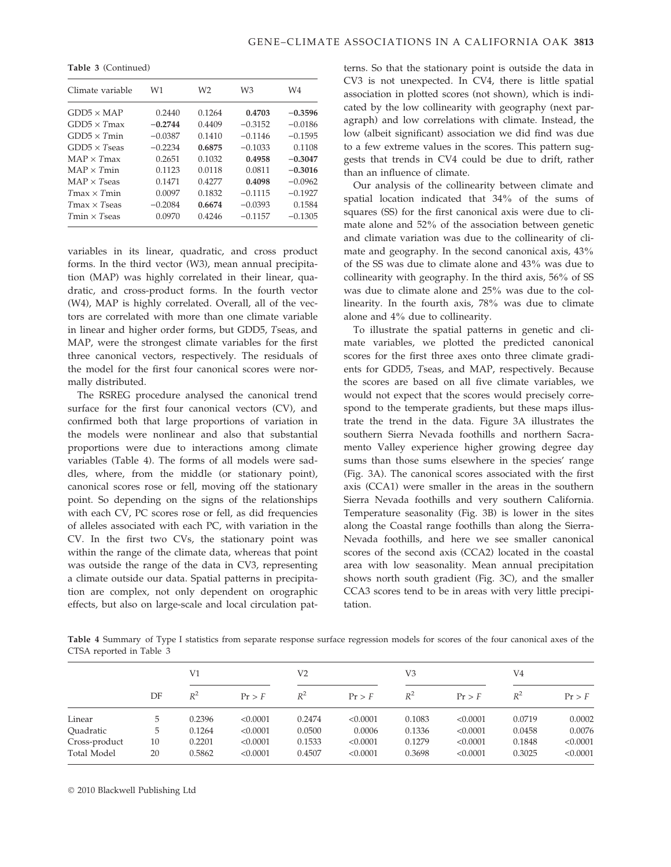Table 3 (Continued)

| Climate variable       | W1        | W2     | W3        | W4        |
|------------------------|-----------|--------|-----------|-----------|
|                        |           |        |           |           |
| $GDD5 \times MAP$      | 0.2440    | 0.1264 | 0.4703    | $-0.3596$ |
| $GDD5 \times Tmax$     | $-0.2744$ | 0.4409 | $-0.3152$ | $-0.0186$ |
| $GDD5 \times Tmin$     | $-0.0387$ | 0.1410 | $-0.1146$ | $-0.1595$ |
| $GDD5 \times T$ seas   | $-0.2234$ | 0.6875 | $-0.1033$ | 0.1108    |
| $MAP \times T$ max     | 0.2651    | 0.1032 | 0.4958    | $-0.3047$ |
| $MAP \times Tmin$      | 0.1123    | 0.0118 | 0.0811    | $-0.3016$ |
| $MAP \times Tseas$     | 0.1471    | 0.4277 | 0.4098    | $-0.0962$ |
| $T$ max $\times$ Tmin  | 0.0097    | 0.1832 | $-0.1115$ | $-0.1927$ |
| $T$ max $\times$ Tseas | $-0.2084$ | 0.6674 | $-0.0393$ | 0.1584    |
| $Tmin \times Tseas$    | 0.0970    | 0.4246 | $-0.1157$ | $-0.1305$ |

variables in its linear, quadratic, and cross product forms. In the third vector (W3), mean annual precipitation (MAP) was highly correlated in their linear, quadratic, and cross-product forms. In the fourth vector (W4), MAP is highly correlated. Overall, all of the vectors are correlated with more than one climate variable in linear and higher order forms, but GDD5, Tseas, and MAP, were the strongest climate variables for the first three canonical vectors, respectively. The residuals of the model for the first four canonical scores were normally distributed.

The RSREG procedure analysed the canonical trend surface for the first four canonical vectors (CV), and confirmed both that large proportions of variation in the models were nonlinear and also that substantial proportions were due to interactions among climate variables (Table 4). The forms of all models were saddles, where, from the middle (or stationary point), canonical scores rose or fell, moving off the stationary point. So depending on the signs of the relationships with each CV, PC scores rose or fell, as did frequencies of alleles associated with each PC, with variation in the CV. In the first two CVs, the stationary point was within the range of the climate data, whereas that point was outside the range of the data in CV3, representing a climate outside our data. Spatial patterns in precipitation are complex, not only dependent on orographic effects, but also on large-scale and local circulation patterns. So that the stationary point is outside the data in CV3 is not unexpected. In CV4, there is little spatial association in plotted scores (not shown), which is indicated by the low collinearity with geography (next paragraph) and low correlations with climate. Instead, the low (albeit significant) association we did find was due to a few extreme values in the scores. This pattern suggests that trends in CV4 could be due to drift, rather than an influence of climate.

Our analysis of the collinearity between climate and spatial location indicated that 34% of the sums of squares (SS) for the first canonical axis were due to climate alone and 52% of the association between genetic and climate variation was due to the collinearity of climate and geography. In the second canonical axis, 43% of the SS was due to climate alone and 43% was due to collinearity with geography. In the third axis, 56% of SS was due to climate alone and 25% was due to the collinearity. In the fourth axis, 78% was due to climate alone and 4% due to collinearity.

To illustrate the spatial patterns in genetic and climate variables, we plotted the predicted canonical scores for the first three axes onto three climate gradients for GDD5, Tseas, and MAP, respectively. Because the scores are based on all five climate variables, we would not expect that the scores would precisely correspond to the temperate gradients, but these maps illustrate the trend in the data. Figure 3A illustrates the southern Sierra Nevada foothills and northern Sacramento Valley experience higher growing degree day sums than those sums elsewhere in the species' range (Fig. 3A). The canonical scores associated with the first axis (CCA1) were smaller in the areas in the southern Sierra Nevada foothills and very southern California. Temperature seasonality (Fig. 3B) is lower in the sites along the Coastal range foothills than along the Sierra-Nevada foothills, and here we see smaller canonical scores of the second axis (CCA2) located in the coastal area with low seasonality. Mean annual precipitation shows north south gradient (Fig. 3C), and the smaller CCA3 scores tend to be in areas with very little precipitation.

Table 4 Summary of Type I statistics from separate response surface regression models for scores of the four canonical axes of the CTSA reported in Table 3

|                    |    | V1     |          | V2     |          | V3     |          | V4     |          |
|--------------------|----|--------|----------|--------|----------|--------|----------|--------|----------|
|                    | DF | $R^2$  | Pr > F   | $R^2$  | Pr > F   | $R^2$  | Pr > F   | $R^2$  | Pr > F   |
| Linear             | 5. | 0.2396 | < 0.0001 | 0.2474 | < 0.0001 | 0.1083 | < 0.0001 | 0.0719 | 0.0002   |
| Ouadratic          | 5  | 0.1264 | < 0.0001 | 0.0500 | 0.0006   | 0.1336 | < 0.0001 | 0.0458 | 0.0076   |
| Cross-product      | 10 | 0.2201 | < 0.0001 | 0.1533 | < 0.0001 | 0.1279 | < 0.0001 | 0.1848 | < 0.0001 |
| <b>Total Model</b> | 20 | 0.5862 | < 0.0001 | 0.4507 | < 0.0001 | 0.3698 | < 0.0001 | 0.3025 | < 0.0001 |

 $©$  2010 Blackwell Publishing Ltd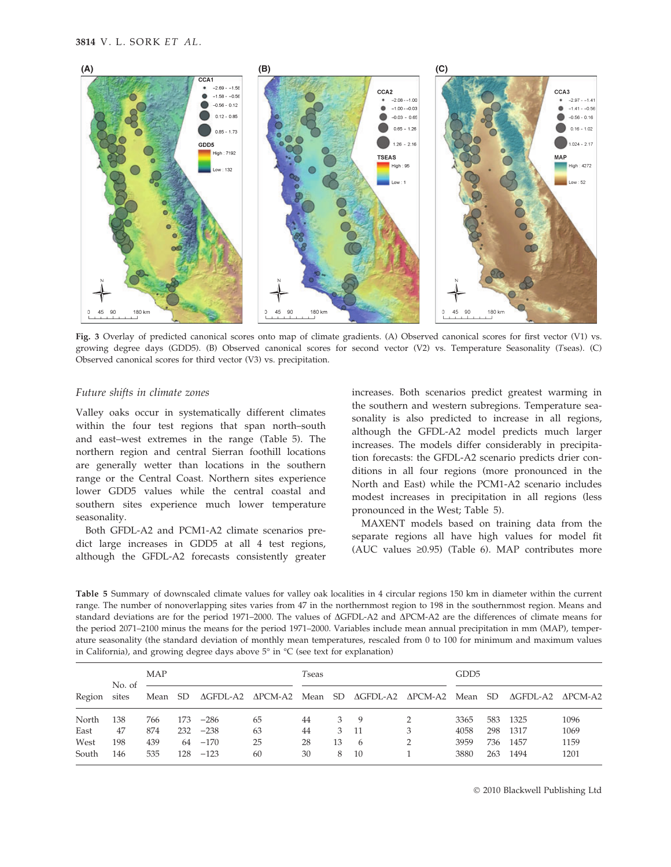

Fig. 3 Overlay of predicted canonical scores onto map of climate gradients. (A) Observed canonical scores for first vector (V1) vs. growing degree days (GDD5). (B) Observed canonical scores for second vector (V2) vs. Temperature Seasonality (Tseas). (C) Observed canonical scores for third vector (V3) vs. precipitation.

#### Future shifts in climate zones

Valley oaks occur in systematically different climates within the four test regions that span north–south and east–west extremes in the range (Table 5). The northern region and central Sierran foothill locations are generally wetter than locations in the southern range or the Central Coast. Northern sites experience lower GDD5 values while the central coastal and southern sites experience much lower temperature seasonality.

Both GFDL-A2 and PCM1-A2 climate scenarios predict large increases in GDD5 at all 4 test regions, although the GFDL-A2 forecasts consistently greater increases. Both scenarios predict greatest warming in the southern and western subregions. Temperature seasonality is also predicted to increase in all regions, although the GFDL-A2 model predicts much larger increases. The models differ considerably in precipitation forecasts: the GFDL-A2 scenario predicts drier conditions in all four regions (more pronounced in the North and East) while the PCM1-A2 scenario includes modest increases in precipitation in all regions (less pronounced in the West; Table 5).

MAXENT models based on training data from the separate regions all have high values for model fit (AUC values  $\geq 0.95$ ) (Table 6). MAP contributes more

Table 5 Summary of downscaled climate values for valley oak localities in 4 circular regions 150 km in diameter within the current range. The number of nonoverlapping sites varies from 47 in the northernmost region to 198 in the southernmost region. Means and standard deviations are for the period 1971–2000. The values of  $\Delta$ GFDL-A2 and  $\Delta$ PCM-A2 are the differences of climate means for the period 2071–2100 minus the means for the period 1971–2000. Variables include mean annual precipitation in mm (MAP), temperature seasonality (the standard deviation of monthly mean temperatures, rescaled from 0 to 100 for minimum and maximum values in California), and growing degree days above  $5^{\circ}$  in  $^{\circ}$ C (see text for explanation)

|              |        | MAP |     |                                                           |    | Tseas |    |       |               | GDD <sub>5</sub> |     |                  |      |
|--------------|--------|-----|-----|-----------------------------------------------------------|----|-------|----|-------|---------------|------------------|-----|------------------|------|
| Region sites | No. of |     |     | Mean SD AGFDL-A2 APCM-A2 Mean SD AGFDL-A2 APCM-A2 Mean SD |    |       |    |       |               |                  |     | AGFDL-A2 APCM-A2 |      |
| North        | 138    | 766 | 173 | $-286$                                                    | 65 | 44    | 3  | - 9   |               | 3365             |     | 583 1325         | 1096 |
| East         | 47     | 874 |     | $232 -238$                                                | 63 | 44    | 3  | $-11$ | 3             | 4058             |     | 298 1317         | 1069 |
| West         | 198    | 439 |     | $64 - 170$                                                | 25 | 28    | 13 | - 6   | $\mathcal{D}$ | 3959             |     | 736 1457         | 1159 |
| South        | 146    | 535 |     | $128 - 123$                                               | 60 | 30    | 8  | 10    |               | 3880             | 263 | 1494             | 1201 |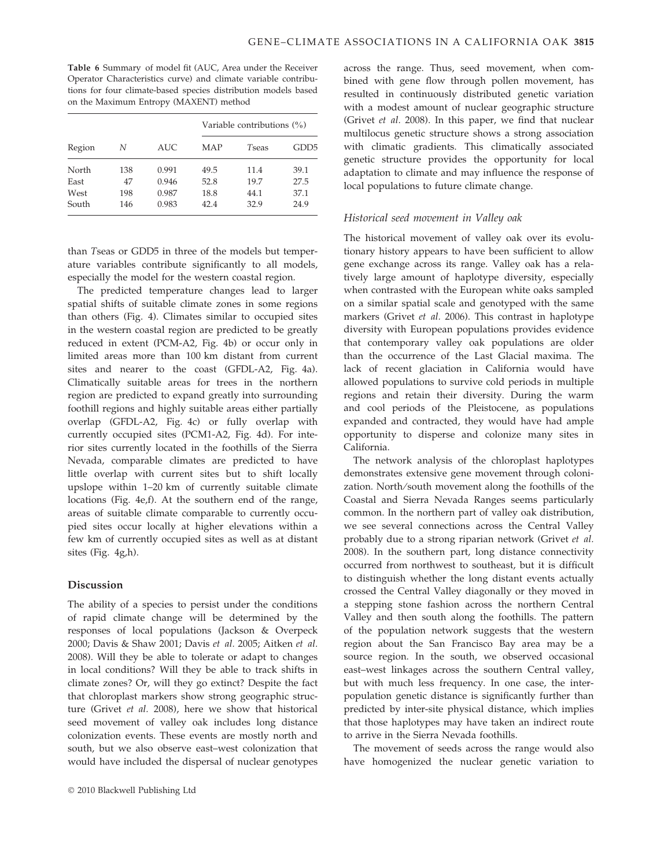Table 6 Summary of model fit (AUC, Area under the Receiver Operator Characteristics curve) and climate variable contributions for four climate-based species distribution models based on the Maximum Entropy (MAXENT) method

|        |     |            |      | Variable contributions $(\%)$ |      |
|--------|-----|------------|------|-------------------------------|------|
| Region | N   | <b>AUC</b> | MAP  | Tseas                         | GDD5 |
| North  | 138 | 0.991      | 49.5 | 11.4                          | 39.1 |
| East   | 47  | 0.946      | 52.8 | 19.7                          | 27.5 |
| West   | 198 | 0.987      | 18.8 | 44.1                          | 37.1 |
| South  | 146 | 0.983      | 42.4 | 32.9                          | 24.9 |

than Tseas or GDD5 in three of the models but temperature variables contribute significantly to all models, especially the model for the western coastal region.

The predicted temperature changes lead to larger spatial shifts of suitable climate zones in some regions than others (Fig. 4). Climates similar to occupied sites in the western coastal region are predicted to be greatly reduced in extent (PCM-A2, Fig. 4b) or occur only in limited areas more than 100 km distant from current sites and nearer to the coast (GFDL-A2, Fig. 4a). Climatically suitable areas for trees in the northern region are predicted to expand greatly into surrounding foothill regions and highly suitable areas either partially overlap (GFDL-A2, Fig. 4c) or fully overlap with currently occupied sites (PCM1-A2, Fig. 4d). For interior sites currently located in the foothills of the Sierra Nevada, comparable climates are predicted to have little overlap with current sites but to shift locally upslope within 1–20 km of currently suitable climate locations (Fig. 4e,f). At the southern end of the range, areas of suitable climate comparable to currently occupied sites occur locally at higher elevations within a few km of currently occupied sites as well as at distant sites (Fig. 4g,h).

# Discussion

The ability of a species to persist under the conditions of rapid climate change will be determined by the responses of local populations (Jackson & Overpeck 2000; Davis & Shaw 2001; Davis et al. 2005; Aitken et al. 2008). Will they be able to tolerate or adapt to changes in local conditions? Will they be able to track shifts in climate zones? Or, will they go extinct? Despite the fact that chloroplast markers show strong geographic structure (Grivet et al. 2008), here we show that historical seed movement of valley oak includes long distance colonization events. These events are mostly north and south, but we also observe east–west colonization that would have included the dispersal of nuclear genotypes

across the range. Thus, seed movement, when combined with gene flow through pollen movement, has resulted in continuously distributed genetic variation with a modest amount of nuclear geographic structure (Grivet et al. 2008). In this paper, we find that nuclear multilocus genetic structure shows a strong association with climatic gradients. This climatically associated genetic structure provides the opportunity for local adaptation to climate and may influence the response of local populations to future climate change.

#### Historical seed movement in Valley oak

The historical movement of valley oak over its evolutionary history appears to have been sufficient to allow gene exchange across its range. Valley oak has a relatively large amount of haplotype diversity, especially when contrasted with the European white oaks sampled on a similar spatial scale and genotyped with the same markers (Grivet et al. 2006). This contrast in haplotype diversity with European populations provides evidence that contemporary valley oak populations are older than the occurrence of the Last Glacial maxima. The lack of recent glaciation in California would have allowed populations to survive cold periods in multiple regions and retain their diversity. During the warm and cool periods of the Pleistocene, as populations expanded and contracted, they would have had ample opportunity to disperse and colonize many sites in California.

The network analysis of the chloroplast haplotypes demonstrates extensive gene movement through colonization. North/south movement along the foothills of the Coastal and Sierra Nevada Ranges seems particularly common. In the northern part of valley oak distribution, we see several connections across the Central Valley probably due to a strong riparian network (Grivet et al. 2008). In the southern part, long distance connectivity occurred from northwest to southeast, but it is difficult to distinguish whether the long distant events actually crossed the Central Valley diagonally or they moved in a stepping stone fashion across the northern Central Valley and then south along the foothills. The pattern of the population network suggests that the western region about the San Francisco Bay area may be a source region. In the south, we observed occasional east–west linkages across the southern Central valley, but with much less frequency. In one case, the interpopulation genetic distance is significantly further than predicted by inter-site physical distance, which implies that those haplotypes may have taken an indirect route to arrive in the Sierra Nevada foothills.

The movement of seeds across the range would also have homogenized the nuclear genetic variation to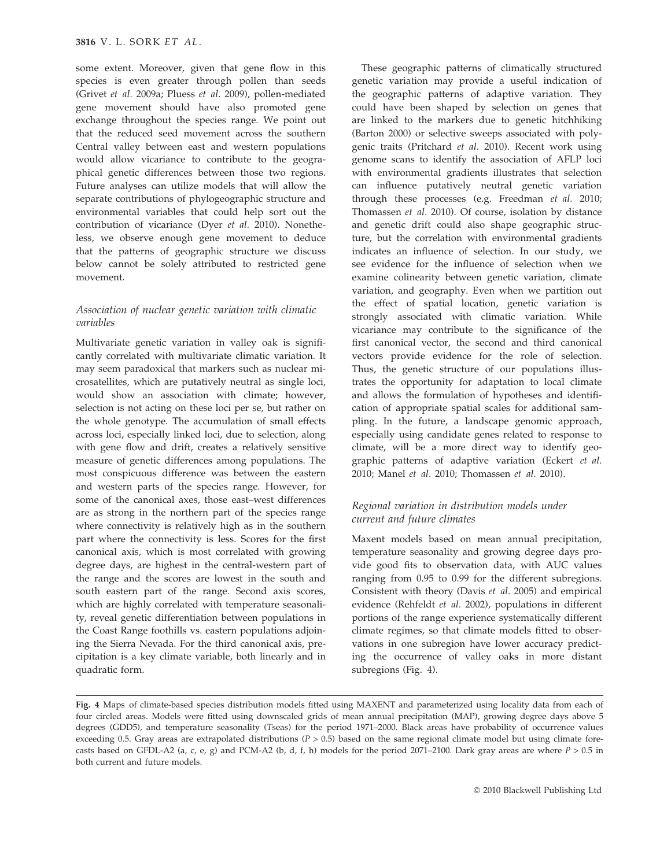some extent. Moreover, given that gene flow in this species is even greater through pollen than seeds (Grivet et al. 2009a; Pluess et al. 2009), pollen-mediated gene movement should have also promoted gene exchange throughout the species range. We point out that the reduced seed movement across the southern Central valley between east and western populations would allow vicariance to contribute to the geographical genetic differences between those two regions. Future analyses can utilize models that will allow the separate contributions of phylogeographic structure and environmental variables that could help sort out the contribution of vicariance (Dyer et al. 2010). Nonetheless, we observe enough gene movement to deduce that the patterns of geographic structure we discuss below cannot be solely attributed to restricted gene movement.

# Association of nuclear genetic variation with climatic variables

Multivariate genetic variation in valley oak is significantly correlated with multivariate climatic variation. It may seem paradoxical that markers such as nuclear microsatellites, which are putatively neutral as single loci, would show an association with climate; however, selection is not acting on these loci per se, but rather on the whole genotype. The accumulation of small effects across loci, especially linked loci, due to selection, along with gene flow and drift, creates a relatively sensitive measure of genetic differences among populations. The most conspicuous difference was between the eastern and western parts of the species range. However, for some of the canonical axes, those east–west differences are as strong in the northern part of the species range where connectivity is relatively high as in the southern part where the connectivity is less. Scores for the first canonical axis, which is most correlated with growing degree days, are highest in the central-western part of the range and the scores are lowest in the south and south eastern part of the range. Second axis scores, which are highly correlated with temperature seasonality, reveal genetic differentiation between populations in the Coast Range foothills vs. eastern populations adjoining the Sierra Nevada. For the third canonical axis, precipitation is a key climate variable, both linearly and in quadratic form.

These geographic patterns of climatically structured genetic variation may provide a useful indication of the geographic patterns of adaptive variation. They could have been shaped by selection on genes that are linked to the markers due to genetic hitchhiking (Barton 2000) or selective sweeps associated with polygenic traits (Pritchard et al. 2010). Recent work using genome scans to identify the association of AFLP loci with environmental gradients illustrates that selection can influence putatively neutral genetic variation through these processes (e.g. Freedman et al. 2010; Thomassen et al. 2010). Of course, isolation by distance and genetic drift could also shape geographic structure, but the correlation with environmental gradients indicates an influence of selection. In our study, we see evidence for the influence of selection when we examine colinearity between genetic variation, climate variation, and geography. Even when we partition out the effect of spatial location, genetic variation is strongly associated with climatic variation. While vicariance may contribute to the significance of the first canonical vector, the second and third canonical vectors provide evidence for the role of selection. Thus, the genetic structure of our populations illustrates the opportunity for adaptation to local climate and allows the formulation of hypotheses and identification of appropriate spatial scales for additional sampling. In the future, a landscape genomic approach, especially using candidate genes related to response to climate, will be a more direct way to identify geographic patterns of adaptive variation (Eckert et al. 2010; Manel et al. 2010; Thomassen et al. 2010).

# Regional variation in distribution models under current and future climates

Maxent models based on mean annual precipitation, temperature seasonality and growing degree days provide good fits to observation data, with AUC values ranging from 0.95 to 0.99 for the different subregions. Consistent with theory (Davis et al. 2005) and empirical evidence (Rehfeldt et al. 2002), populations in different portions of the range experience systematically different climate regimes, so that climate models fitted to observations in one subregion have lower accuracy predicting the occurrence of valley oaks in more distant subregions (Fig. 4).

Fig. 4 Maps of climate-based species distribution models fitted using MAXENT and parameterized using locality data from each of four circled areas. Models were fitted using downscaled grids of mean annual precipitation (MAP), growing degree days above 5 degrees (GDD5), and temperature seasonality (Tseas) for the period 1971–2000. Black areas have probability of occurrence values exceeding 0.5. Gray areas are extrapolated distributions  $(P > 0.5)$  based on the same regional climate model but using climate forecasts based on GFDL-A2 (a, c, e, g) and PCM-A2 (b, d, f, h) models for the period 2071–2100. Dark gray areas are where  $P > 0.5$  in both current and future models.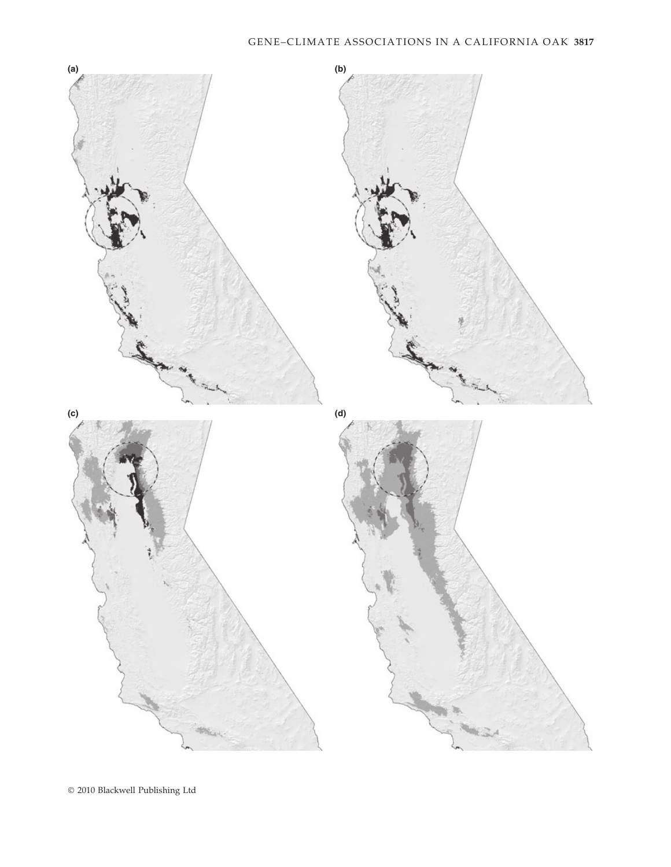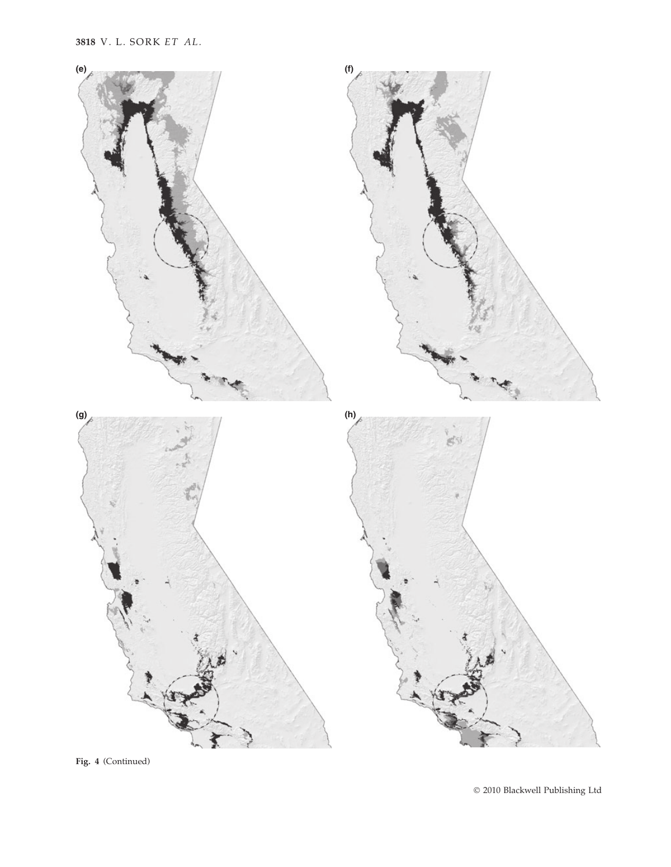

Fig. 4 (Continued)

! 2010 Blackwell Publishing Ltd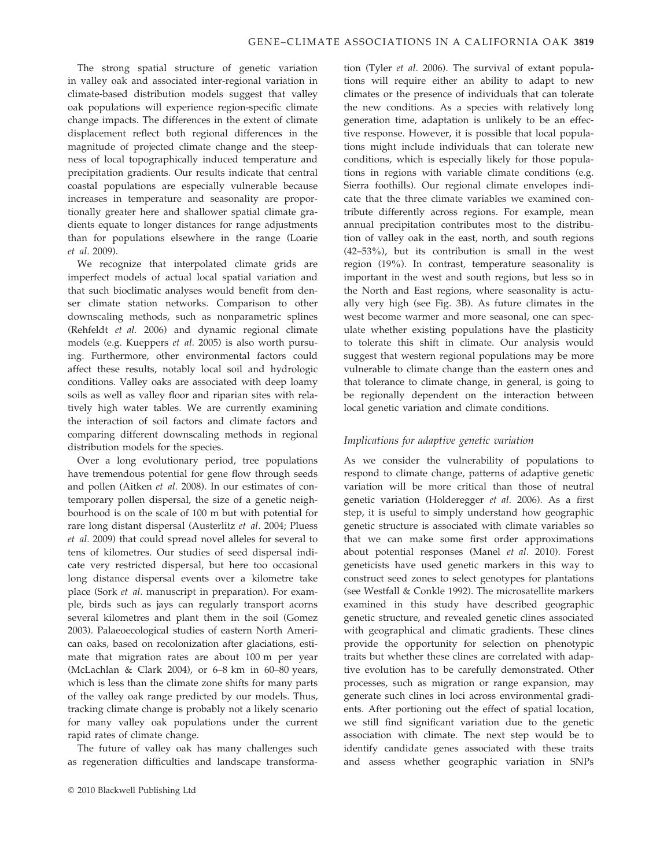The strong spatial structure of genetic variation in valley oak and associated inter-regional variation in climate-based distribution models suggest that valley oak populations will experience region-specific climate change impacts. The differences in the extent of climate displacement reflect both regional differences in the magnitude of projected climate change and the steepness of local topographically induced temperature and precipitation gradients. Our results indicate that central coastal populations are especially vulnerable because increases in temperature and seasonality are proportionally greater here and shallower spatial climate gradients equate to longer distances for range adjustments than for populations elsewhere in the range (Loarie et al. 2009).

We recognize that interpolated climate grids are imperfect models of actual local spatial variation and that such bioclimatic analyses would benefit from denser climate station networks. Comparison to other downscaling methods, such as nonparametric splines (Rehfeldt et al. 2006) and dynamic regional climate models (e.g. Kueppers et al. 2005) is also worth pursuing. Furthermore, other environmental factors could affect these results, notably local soil and hydrologic conditions. Valley oaks are associated with deep loamy soils as well as valley floor and riparian sites with relatively high water tables. We are currently examining the interaction of soil factors and climate factors and comparing different downscaling methods in regional distribution models for the species.

Over a long evolutionary period, tree populations have tremendous potential for gene flow through seeds and pollen (Aitken et al. 2008). In our estimates of contemporary pollen dispersal, the size of a genetic neighbourhood is on the scale of 100 m but with potential for rare long distant dispersal (Austerlitz et al. 2004; Pluess et al. 2009) that could spread novel alleles for several to tens of kilometres. Our studies of seed dispersal indicate very restricted dispersal, but here too occasional long distance dispersal events over a kilometre take place (Sork et al. manuscript in preparation). For example, birds such as jays can regularly transport acorns several kilometres and plant them in the soil (Gomez 2003). Palaeoecological studies of eastern North American oaks, based on recolonization after glaciations, estimate that migration rates are about 100 m per year (McLachlan & Clark 2004), or 6–8 km in 60–80 years, which is less than the climate zone shifts for many parts of the valley oak range predicted by our models. Thus, tracking climate change is probably not a likely scenario for many valley oak populations under the current rapid rates of climate change.

The future of valley oak has many challenges such as regeneration difficulties and landscape transforma-

tion (Tyler *et al.* 2006). The survival of extant populations will require either an ability to adapt to new climates or the presence of individuals that can tolerate the new conditions. As a species with relatively long generation time, adaptation is unlikely to be an effective response. However, it is possible that local populations might include individuals that can tolerate new conditions, which is especially likely for those populations in regions with variable climate conditions (e.g. Sierra foothills). Our regional climate envelopes indicate that the three climate variables we examined contribute differently across regions. For example, mean annual precipitation contributes most to the distribution of valley oak in the east, north, and south regions (42–53%), but its contribution is small in the west region (19%). In contrast, temperature seasonality is important in the west and south regions, but less so in the North and East regions, where seasonality is actually very high (see Fig. 3B). As future climates in the west become warmer and more seasonal, one can speculate whether existing populations have the plasticity to tolerate this shift in climate. Our analysis would suggest that western regional populations may be more vulnerable to climate change than the eastern ones and that tolerance to climate change, in general, is going to be regionally dependent on the interaction between local genetic variation and climate conditions.

## Implications for adaptive genetic variation

As we consider the vulnerability of populations to respond to climate change, patterns of adaptive genetic variation will be more critical than those of neutral genetic variation (Holderegger et al. 2006). As a first step, it is useful to simply understand how geographic genetic structure is associated with climate variables so that we can make some first order approximations about potential responses (Manel et al. 2010). Forest geneticists have used genetic markers in this way to construct seed zones to select genotypes for plantations (see Westfall & Conkle 1992). The microsatellite markers examined in this study have described geographic genetic structure, and revealed genetic clines associated with geographical and climatic gradients. These clines provide the opportunity for selection on phenotypic traits but whether these clines are correlated with adaptive evolution has to be carefully demonstrated. Other processes, such as migration or range expansion, may generate such clines in loci across environmental gradients. After portioning out the effect of spatial location, we still find significant variation due to the genetic association with climate. The next step would be to identify candidate genes associated with these traits and assess whether geographic variation in SNPs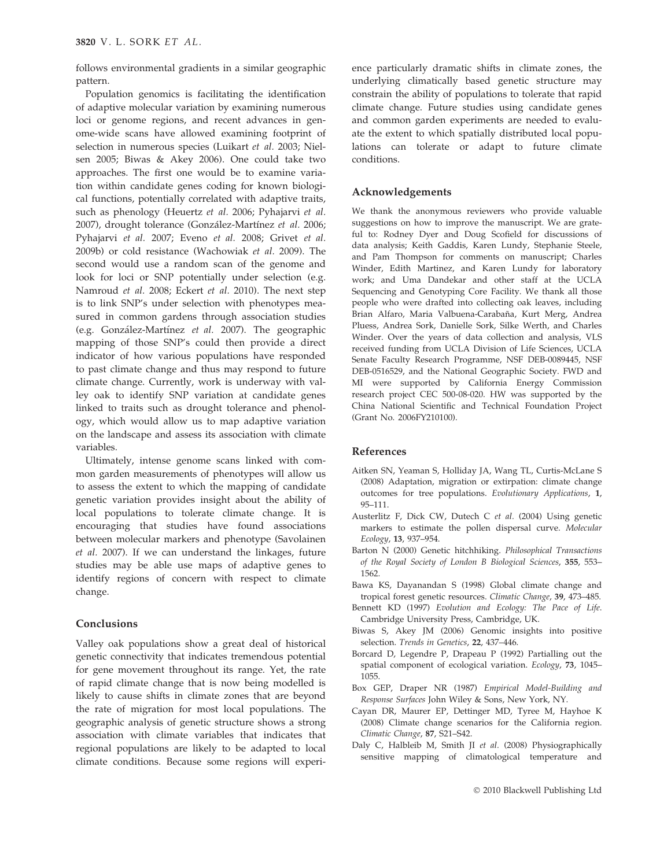follows environmental gradients in a similar geographic pattern.

Population genomics is facilitating the identification of adaptive molecular variation by examining numerous loci or genome regions, and recent advances in genome-wide scans have allowed examining footprint of selection in numerous species (Luikart et al. 2003; Nielsen 2005; Biwas & Akey 2006). One could take two approaches. The first one would be to examine variation within candidate genes coding for known biological functions, potentially correlated with adaptive traits, such as phenology (Heuertz et al. 2006; Pyhajarvi et al. 2007), drought tolerance (González-Martínez et al. 2006; Pyhajarvi et al. 2007; Eveno et al. 2008; Grivet et al. 2009b) or cold resistance (Wachowiak et al. 2009). The second would use a random scan of the genome and look for loci or SNP potentially under selection (e.g. Namroud et al. 2008; Eckert et al. 2010). The next step is to link SNP's under selection with phenotypes measured in common gardens through association studies (e.g. González-Martínez et al. 2007). The geographic mapping of those SNP's could then provide a direct indicator of how various populations have responded to past climate change and thus may respond to future climate change. Currently, work is underway with valley oak to identify SNP variation at candidate genes linked to traits such as drought tolerance and phenology, which would allow us to map adaptive variation on the landscape and assess its association with climate variables.

Ultimately, intense genome scans linked with common garden measurements of phenotypes will allow us to assess the extent to which the mapping of candidate genetic variation provides insight about the ability of local populations to tolerate climate change. It is encouraging that studies have found associations between molecular markers and phenotype (Savolainen et al. 2007). If we can understand the linkages, future studies may be able use maps of adaptive genes to identify regions of concern with respect to climate change.

## **Conclusions**

Valley oak populations show a great deal of historical genetic connectivity that indicates tremendous potential for gene movement throughout its range. Yet, the rate of rapid climate change that is now being modelled is likely to cause shifts in climate zones that are beyond the rate of migration for most local populations. The geographic analysis of genetic structure shows a strong association with climate variables that indicates that regional populations are likely to be adapted to local climate conditions. Because some regions will experience particularly dramatic shifts in climate zones, the underlying climatically based genetic structure may constrain the ability of populations to tolerate that rapid climate change. Future studies using candidate genes and common garden experiments are needed to evaluate the extent to which spatially distributed local populations can tolerate or adapt to future climate conditions.

## Acknowledgements

We thank the anonymous reviewers who provide valuable suggestions on how to improve the manuscript. We are grateful to: Rodney Dyer and Doug Scofield for discussions of data analysis; Keith Gaddis, Karen Lundy, Stephanie Steele, and Pam Thompson for comments on manuscript; Charles Winder, Edith Martinez, and Karen Lundy for laboratory work; and Uma Dandekar and other staff at the UCLA Sequencing and Genotyping Core Facility. We thank all those people who were drafted into collecting oak leaves, including Brian Alfaro, Maria Valbuena-Carabaña, Kurt Merg, Andrea Pluess, Andrea Sork, Danielle Sork, Silke Werth, and Charles Winder. Over the years of data collection and analysis, VLS received funding from UCLA Division of Life Sciences, UCLA Senate Faculty Research Programme, NSF DEB-0089445, NSF DEB-0516529, and the National Geographic Society. FWD and MI were supported by California Energy Commission research project CEC 500-08-020. HW was supported by the China National Scientific and Technical Foundation Project (Grant No. 2006FY210100).

## References

- Aitken SN, Yeaman S, Holliday JA, Wang TL, Curtis-McLane S (2008) Adaptation, migration or extirpation: climate change outcomes for tree populations. Evolutionary Applications, 1, 95–111.
- Austerlitz F, Dick CW, Dutech C et al. (2004) Using genetic markers to estimate the pollen dispersal curve. Molecular Ecology, 13, 937–954.
- Barton N (2000) Genetic hitchhiking. Philosophical Transactions of the Royal Society of London B Biological Sciences, 355, 553– 1562.
- Bawa KS, Dayanandan S (1998) Global climate change and tropical forest genetic resources. Climatic Change, 39, 473–485.
- Bennett KD (1997) Evolution and Ecology: The Pace of Life. Cambridge University Press, Cambridge, UK.
- Biwas S, Akey JM (2006) Genomic insights into positive selection. Trends in Genetics, 22, 437–446.
- Borcard D, Legendre P, Drapeau P (1992) Partialling out the spatial component of ecological variation. Ecology, 73, 1045– 1055.
- Box GEP, Draper NR (1987) Empirical Model-Building and Response Surfaces John Wiley & Sons, New York, NY.
- Cayan DR, Maurer EP, Dettinger MD, Tyree M, Hayhoe K (2008) Climate change scenarios for the California region. Climatic Change, 87, S21–S42.
- Daly C, Halbleib M, Smith JI et al. (2008) Physiographically sensitive mapping of climatological temperature and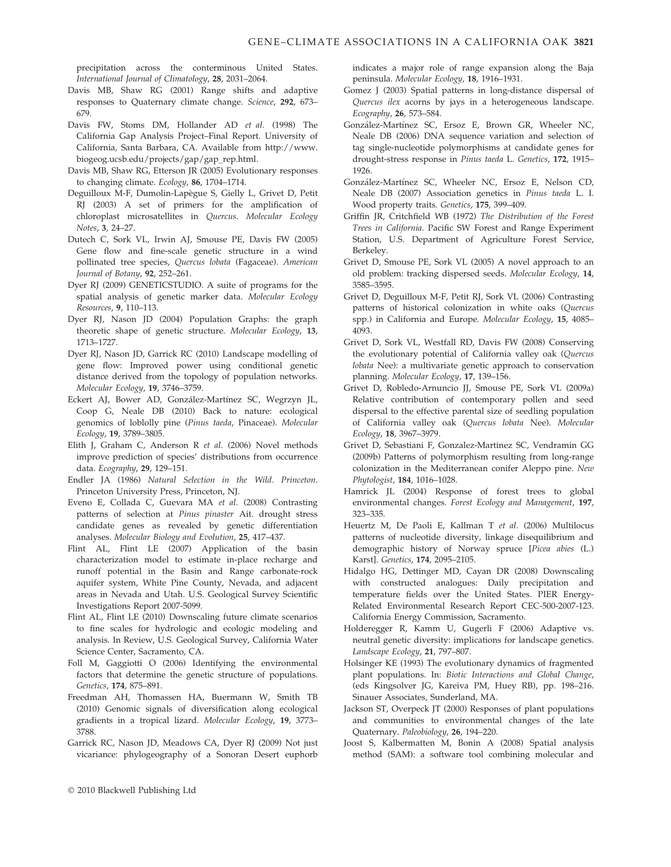precipitation across the conterminous United States. International Journal of Climatology, 28, 2031–2064.

- Davis MB, Shaw RG (2001) Range shifts and adaptive responses to Quaternary climate change. Science, 292, 673– 679.
- Davis FW, Stoms DM, Hollander AD et al. (1998) The California Gap Analysis Project–Final Report. University of California, Santa Barbara, CA. Available from http://www. biogeog.ucsb.edu/projects/gap/gap\_rep.html.
- Davis MB, Shaw RG, Etterson JR (2005) Evolutionary responses to changing climate. Ecology, 86, 1704–1714.
- Deguilloux M-F, Dumolin-Lapègue S, Gielly L, Grivet D, Petit RJ (2003) A set of primers for the amplification of chloroplast microsatellites in Quercus. Molecular Ecology Notes, 3, 24–27.
- Dutech C, Sork VL, Irwin AJ, Smouse PE, Davis FW (2005) Gene flow and fine-scale genetic structure in a wind pollinated tree species, Quercus lobata (Fagaceae). American Journal of Botany, 92, 252–261.
- Dyer RJ (2009) GENETICSTUDIO. A suite of programs for the spatial analysis of genetic marker data. Molecular Ecology Resources, 9, 110–113.
- Dyer RJ, Nason JD (2004) Population Graphs: the graph theoretic shape of genetic structure. Molecular Ecology, 13, 1713–1727.
- Dyer RJ, Nason JD, Garrick RC (2010) Landscape modelling of gene flow: Improved power using conditional genetic distance derived from the topology of population networks. Molecular Ecology, 19, 3746–3759.
- Eckert AJ, Bower AD, González-Martínez SC, Wegrzyn JL, Coop G, Neale DB (2010) Back to nature: ecological genomics of loblolly pine (Pinus taeda, Pinaceae). Molecular Ecology, 19, 3789–3805.
- Elith J, Graham C, Anderson R et al. (2006) Novel methods improve prediction of species' distributions from occurrence data. Ecography, 29, 129–151.
- Endler JA (1986) Natural Selection in the Wild. Princeton. Princeton University Press, Princeton, NJ.
- Eveno E, Collada C, Guevara MA et al. (2008) Contrasting patterns of selection at Pinus pinaster Ait. drought stress candidate genes as revealed by genetic differentiation analyses. Molecular Biology and Evolution, 25, 417–437.
- Flint AL, Flint LE (2007) Application of the basin characterization model to estimate in-place recharge and runoff potential in the Basin and Range carbonate-rock aquifer system, White Pine County, Nevada, and adjacent areas in Nevada and Utah. U.S. Geological Survey Scientific Investigations Report 2007-5099.
- Flint AL, Flint LE (2010) Downscaling future climate scenarios to fine scales for hydrologic and ecologic modeling and analysis. In Review, U.S. Geological Survey, California Water Science Center, Sacramento, CA.
- Foll M, Gaggiotti O (2006) Identifying the environmental factors that determine the genetic structure of populations. Genetics, 174, 875–891.
- Freedman AH, Thomassen HA, Buermann W, Smith TB (2010) Genomic signals of diversification along ecological gradients in a tropical lizard. Molecular Ecology, 19, 3773– 3788.
- Garrick RC, Nason JD, Meadows CA, Dyer RJ (2009) Not just vicariance: phylogeography of a Sonoran Desert euphorb

indicates a major role of range expansion along the Baja peninsula. Molecular Ecology, 18, 1916–1931.

- Gomez J (2003) Spatial patterns in long-distance dispersal of Quercus ilex acorns by jays in a heterogeneous landscape. Ecography, 26, 573–584.
- González-Martínez SC, Ersoz E, Brown GR, Wheeler NC, Neale DB (2006) DNA sequence variation and selection of tag single-nucleotide polymorphisms at candidate genes for drought-stress response in Pinus taeda L. Genetics, 172, 1915– 1926.
- González-Martínez SC, Wheeler NC, Ersoz E, Nelson CD, Neale DB (2007) Association genetics in Pinus taeda L. I. Wood property traits. Genetics, 175, 399–409.
- Griffin JR, Critchfield WB (1972) The Distribution of the Forest Trees in California. Pacific SW Forest and Range Experiment Station, U.S. Department of Agriculture Forest Service, Berkeley.
- Grivet D, Smouse PE, Sork VL (2005) A novel approach to an old problem: tracking dispersed seeds. Molecular Ecology, 14, 3585–3595.
- Grivet D, Deguilloux M-F, Petit RJ, Sork VL (2006) Contrasting patterns of historical colonization in white oaks (Quercus spp.) in California and Europe. Molecular Ecology, 15, 4085– 4093.
- Grivet D, Sork VL, Westfall RD, Davis FW (2008) Conserving the evolutionary potential of California valley oak (Quercus lobata Nee): a multivariate genetic approach to conservation planning. Molecular Ecology, 17, 139–156.
- Grivet D, Robledo-Arnuncio JJ, Smouse PE, Sork VL (2009a) Relative contribution of contemporary pollen and seed dispersal to the effective parental size of seedling population of California valley oak (Quercus lobata Nee). Molecular Ecology, 18, 3967–3979.
- Grivet D, Sebastiani F, Gonzalez-Martinez SC, Vendramin GG (2009b) Patterns of polymorphism resulting from long-range colonization in the Mediterranean conifer Aleppo pine. New Phytologist, 184, 1016–1028.
- Hamrick JL (2004) Response of forest trees to global environmental changes. Forest Ecology and Management, 197, 323–335.
- Heuertz M, De Paoli E, Kallman T et al. (2006) Multilocus patterns of nucleotide diversity, linkage disequilibrium and demographic history of Norway spruce [Picea abies (L.) Karst]. Genetics, 174, 2095–2105.
- Hidalgo HG, Dettinger MD, Cayan DR (2008) Downscaling with constructed analogues: Daily precipitation and temperature fields over the United States. PIER Energy-Related Environmental Research Report CEC-500-2007-123. California Energy Commission, Sacramento.
- Holderegger R, Kamm U, Gugerli F (2006) Adaptive vs. neutral genetic diversity: implications for landscape genetics. Landscape Ecology, 21, 797–807.
- Holsinger KE (1993) The evolutionary dynamics of fragmented plant populations. In: Biotic Interactions and Global Change, (eds Kingsolver JG, Kareiva PM, Huey RB), pp. 198–216. Sinauer Associates, Sunderland, MA.
- Jackson ST, Overpeck JT (2000) Responses of plant populations and communities to environmental changes of the late Quaternary. Paleobiology, 26, 194–220.
- Joost S, Kalbermatten M, Bonin A (2008) Spatial analysis method (SAM): a software tool combining molecular and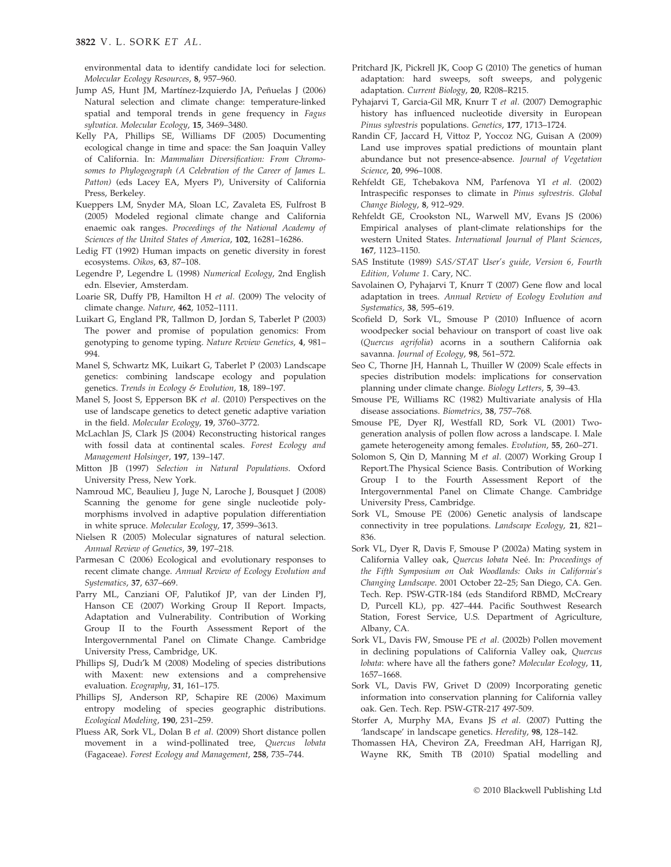environmental data to identify candidate loci for selection. Molecular Ecology Resources, 8, 957–960.

- Jump AS, Hunt JM, Martínez-Izquierdo JA, Peñuelas J (2006) Natural selection and climate change: temperature-linked spatial and temporal trends in gene frequency in Fagus sylvatica. Molecular Ecology, 15, 3469–3480.
- Kelly PA, Phillips SE, Williams DF (2005) Documenting ecological change in time and space: the San Joaquin Valley of California. In: Mammalian Diversification: From Chromosomes to Phylogeograph (A Celebration of the Career of James L. Patton) (eds Lacey EA, Myers P), University of California Press, Berkeley.
- Kueppers LM, Snyder MA, Sloan LC, Zavaleta ES, Fulfrost B (2005) Modeled regional climate change and California enaemic oak ranges. Proceedings of the National Academy of Sciences of the United States of America, 102, 16281–16286.
- Ledig FT (1992) Human impacts on genetic diversity in forest ecosystems. Oikos, 63, 87–108.
- Legendre P, Legendre L (1998) Numerical Ecology, 2nd English edn. Elsevier, Amsterdam.
- Loarie SR, Duffy PB, Hamilton H et al. (2009) The velocity of climate change. Nature, 462, 1052–1111.
- Luikart G, England PR, Tallmon D, Jordan S, Taberlet P (2003) The power and promise of population genomics: From genotyping to genome typing. Nature Review Genetics, 4, 981– 994.
- Manel S, Schwartz MK, Luikart G, Taberlet P (2003) Landscape genetics: combining landscape ecology and population genetics. Trends in Ecology & Evolution, 18, 189–197.
- Manel S, Joost S, Epperson BK et al. (2010) Perspectives on the use of landscape genetics to detect genetic adaptive variation in the field. Molecular Ecology, 19, 3760–3772.
- McLachlan JS, Clark JS (2004) Reconstructing historical ranges with fossil data at continental scales. Forest Ecology and Management Holsinger, 197, 139–147.
- Mitton JB (1997) Selection in Natural Populations. Oxford University Press, New York.
- Namroud MC, Beaulieu J, Juge N, Laroche J, Bousquet J (2008) Scanning the genome for gene single nucleotide polymorphisms involved in adaptive population differentiation in white spruce. Molecular Ecology, 17, 3599–3613.
- Nielsen R (2005) Molecular signatures of natural selection. Annual Review of Genetics, 39, 197–218.
- Parmesan C (2006) Ecological and evolutionary responses to recent climate change. Annual Review of Ecology Evolution and Systematics, 37, 637–669.
- Parry ML, Canziani OF, Palutikof JP, van der Linden PJ, Hanson CE (2007) Working Group II Report. Impacts, Adaptation and Vulnerability. Contribution of Working Group II to the Fourth Assessment Report of the Intergovernmental Panel on Climate Change. Cambridge University Press, Cambridge, UK.
- Phillips SJ, Dudı'k M (2008) Modeling of species distributions with Maxent: new extensions and a comprehensive evaluation. Ecography, 31, 161-175.
- Phillips SJ, Anderson RP, Schapire RE (2006) Maximum entropy modeling of species geographic distributions. Ecological Modeling, 190, 231–259.
- Pluess AR, Sork VL, Dolan B et al. (2009) Short distance pollen movement in a wind-pollinated tree, Quercus lobata (Fagaceae). Forest Ecology and Management, 258, 735–744.
- Pritchard JK, Pickrell JK, Coop G (2010) The genetics of human adaptation: hard sweeps, soft sweeps, and polygenic adaptation. Current Biology, 20, R208–R215.
- Pyhajarvi T, Garcia-Gil MR, Knurr T et al. (2007) Demographic history has influenced nucleotide diversity in European Pinus sylvestris populations. Genetics, 177, 1713–1724.
- Randin CF, Jaccard H, Vittoz P, Yoccoz NG, Guisan A (2009) Land use improves spatial predictions of mountain plant abundance but not presence-absence. Journal of Vegetation Science, 20, 996–1008.
- Rehfeldt GE, Tchebakova NM, Parfenova YI et al. (2002) Intraspecific responses to climate in Pinus sylvestris. Global Change Biology, 8, 912–929.
- Rehfeldt GE, Crookston NL, Warwell MV, Evans JS (2006) Empirical analyses of plant-climate relationships for the western United States. International Journal of Plant Sciences, 167, 1123–1150.
- SAS Institute (1989) SAS/STAT User's guide, Version 6, Fourth Edition, Volume 1. Cary, NC.
- Savolainen O, Pyhajarvi T, Knurr T (2007) Gene flow and local adaptation in trees. Annual Review of Ecology Evolution and Systematics, 38, 595–619.
- Scofield D, Sork VL, Smouse P (2010) Influence of acorn woodpecker social behaviour on transport of coast live oak (Quercus agrifolia) acorns in a southern California oak savanna. Journal of Ecology, 98, 561-572.
- Seo C, Thorne JH, Hannah L, Thuiller W (2009) Scale effects in species distribution models: implications for conservation planning under climate change. Biology Letters, 5, 39–43.
- Smouse PE, Williams RC (1982) Multivariate analysis of Hla disease associations. Biometrics, 38, 757–768.
- Smouse PE, Dyer RJ, Westfall RD, Sork VL (2001) Twogeneration analysis of pollen flow across a landscape. I. Male gamete heterogeneity among females. Evolution, 55, 260–271.
- Solomon S, Qin D, Manning M et al. (2007) Working Group I Report.The Physical Science Basis. Contribution of Working Group I to the Fourth Assessment Report of the Intergovernmental Panel on Climate Change. Cambridge University Press, Cambridge.
- Sork VL, Smouse PE (2006) Genetic analysis of landscape connectivity in tree populations. Landscape Ecology, 21, 821– 836.
- Sork VL, Dyer R, Davis F, Smouse P (2002a) Mating system in California Valley oak, Quercus lobata Neé. In: Proceedings of the Fifth Symposium on Oak Woodlands: Oaks in California's Changing Landscape. 2001 October 22–25; San Diego, CA. Gen. Tech. Rep. PSW-GTR-184 (eds Standiford RBMD, McCreary D, Purcell KL), pp. 427–444. Pacific Southwest Research Station, Forest Service, U.S. Department of Agriculture, Albany, CA.
- Sork VL, Davis FW, Smouse PE et al. (2002b) Pollen movement in declining populations of California Valley oak, Quercus lobata: where have all the fathers gone? Molecular Ecology, 11, 1657–1668.
- Sork VL, Davis FW, Grivet D (2009) Incorporating genetic information into conservation planning for California valley oak. Gen. Tech. Rep. PSW-GTR-217 497-509.
- Storfer A, Murphy MA, Evans JS et al. (2007) Putting the 'landscape' in landscape genetics. Heredity, 98, 128–142.
- Thomassen HA, Cheviron ZA, Freedman AH, Harrigan RJ, Wayne RK, Smith TB (2010) Spatial modelling and